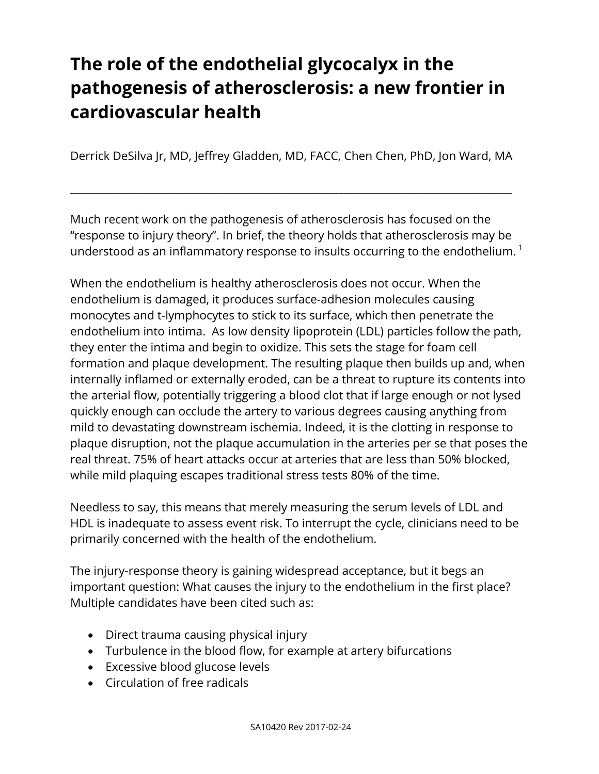# **The role of the endothelial glycocalyx in the pathogenesis of atherosclerosis: a new frontier in cardiovascular health**

Derrick DeSilva Jr, MD, Jeffrey Gladden, MD, FACC, Chen Chen, PhD, Jon Ward, MA

\_\_\_\_\_\_\_\_\_\_\_\_\_\_\_\_\_\_\_\_\_\_\_\_\_\_\_\_\_\_\_\_\_\_\_\_\_\_\_\_\_\_\_\_\_\_\_\_\_\_\_\_\_\_\_\_\_\_\_\_\_\_\_\_\_\_\_\_\_\_\_\_\_\_\_\_\_\_\_\_\_\_\_\_

Much recent work on the pathogenesis of atherosclerosis has focused on the "response to injury theory". In brief, the theory holds that atherosclerosis may be understood as an inflammatory response to insults occurring to the endothelium.<sup>1</sup>

When the endothelium is healthy atherosclerosis does not occur. When the endothelium is damaged, it produces surface-adhesion molecules causing monocytes and t-lymphocytes to stick to its surface, which then penetrate the endothelium into intima. As low density lipoprotein (LDL) particles follow the path, they enter the intima and begin to oxidize. This sets the stage for foam cell formation and plaque development. The resulting plaque then builds up and, when internally inflamed or externally eroded, can be a threat to rupture its contents into the arterial flow, potentially triggering a blood clot that if large enough or not lysed quickly enough can occlude the artery to various degrees causing anything from mild to devastating downstream ischemia. Indeed, it is the clotting in response to plaque disruption, not the plaque accumulation in the arteries per se that poses the real threat. 75% of heart attacks occur at arteries that are less than 50% blocked, while mild plaquing escapes traditional stress tests 80% of the time.

Needless to say, this means that merely measuring the serum levels of LDL and HDL is inadequate to assess event risk. To interrupt the cycle, clinicians need to be primarily concerned with the health of the endothelium.

The injury-response theory is gaining widespread acceptance, but it begs an important question: What causes the injury to the endothelium in the first place? Multiple candidates have been cited such as:

- Direct trauma causing physical injury
- Turbulence in the blood flow, for example at artery bifurcations
- Excessive blood glucose levels
- Circulation of free radicals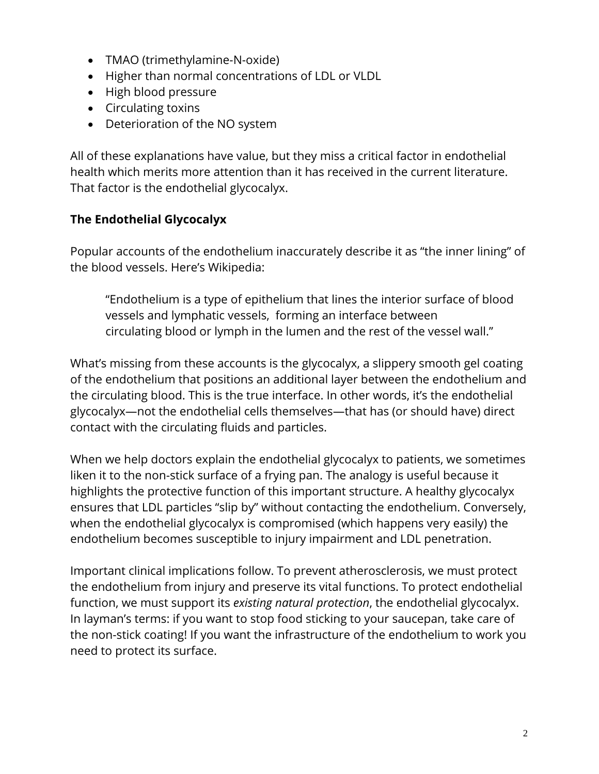- TMAO (trimethylamine-N-oxide)
- Higher than normal concentrations of LDL or VLDL
- High blood pressure
- Circulating toxins
- Deterioration of the NO system

All of these explanations have value, but they miss a critical factor in endothelial health which merits more attention than it has received in the current literature. That factor is the endothelial glycocalyx.

## **The Endothelial Glycocalyx**

Popular accounts of the endothelium inaccurately describe it as "the inner lining" of the blood vessels. Here's Wikipedia:

"Endothelium is a type of epithelium that lines the interior surface of blood vessels and lymphatic vessels, forming an interface between circulating blood or lymph in the lumen and the rest of the vessel wall."

What's missing from these accounts is the glycocalyx, a slippery smooth gel coating of the endothelium that positions an additional layer between the endothelium and the circulating blood. This is the true interface. In other words, it's the endothelial glycocalyx—not the endothelial cells themselves—that has (or should have) direct contact with the circulating fluids and particles.

When we help doctors explain the endothelial glycocalyx to patients, we sometimes liken it to the non-stick surface of a frying pan. The analogy is useful because it highlights the protective function of this important structure. A healthy glycocalyx ensures that LDL particles "slip by" without contacting the endothelium. Conversely, when the endothelial glycocalyx is compromised (which happens very easily) the endothelium becomes susceptible to injury impairment and LDL penetration.

Important clinical implications follow. To prevent atherosclerosis, we must protect the endothelium from injury and preserve its vital functions. To protect endothelial function, we must support its *existing natural protection*, the endothelial glycocalyx. In layman's terms: if you want to stop food sticking to your saucepan, take care of the non-stick coating! If you want the infrastructure of the endothelium to work you need to protect its surface.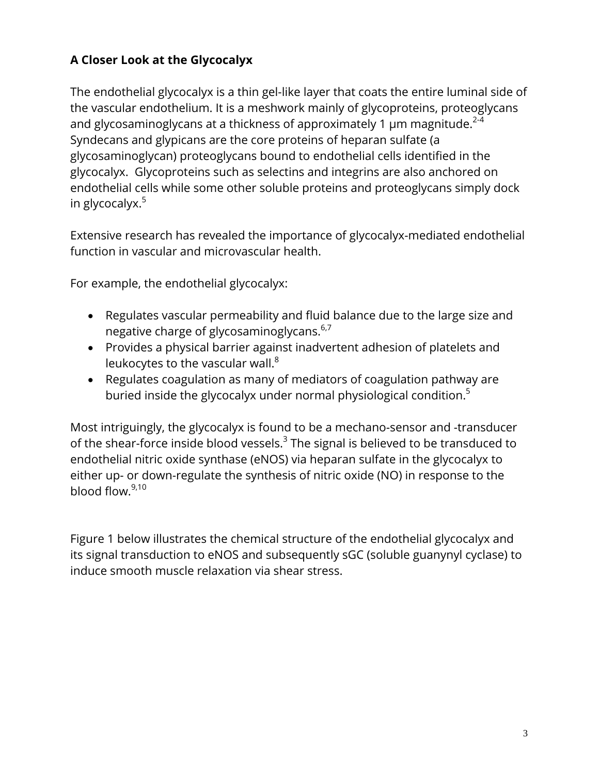# **A Closer Look at the Glycocalyx**

The endothelial glycocalyx is a thin gel-like layer that coats the entire luminal side of the vascular endothelium. It is a meshwork mainly of glycoproteins, proteoglycans and glycosaminoglycans at a thickness of approximately 1  $\mu$ m magnitude.<sup>2-4</sup> Syndecans and glypicans are the core proteins of heparan sulfate (a glycosaminoglycan) proteoglycans bound to endothelial cells identified in the glycocalyx. Glycoproteins such as selectins and integrins are also anchored on endothelial cells while some other soluble proteins and proteoglycans simply dock in glycocalyx.<sup>5</sup>

Extensive research has revealed the importance of glycocalyx-mediated endothelial function in vascular and microvascular health.

For example, the endothelial glycocalyx:

- Regulates vascular permeability and fluid balance due to the large size and negative charge of glycosaminoglycans.<sup>6,7</sup>
- Provides a physical barrier against inadvertent adhesion of platelets and leukocytes to the vascular wall. $8$
- Regulates coagulation as many of mediators of coagulation pathway are buried inside the glycocalyx under normal physiological condition.<sup>5</sup>

Most intriguingly, the glycocalyx is found to be a mechano-sensor and -transducer of the shear-force inside blood vessels. $3$  The signal is believed to be transduced to endothelial nitric oxide synthase (eNOS) via heparan sulfate in the glycocalyx to either up- or down-regulate the synthesis of nitric oxide (NO) in response to the blood flow.9,10

Figure 1 below illustrates the chemical structure of the endothelial glycocalyx and its signal transduction to eNOS and subsequently sGC (soluble guanynyl cyclase) to induce smooth muscle relaxation via shear stress.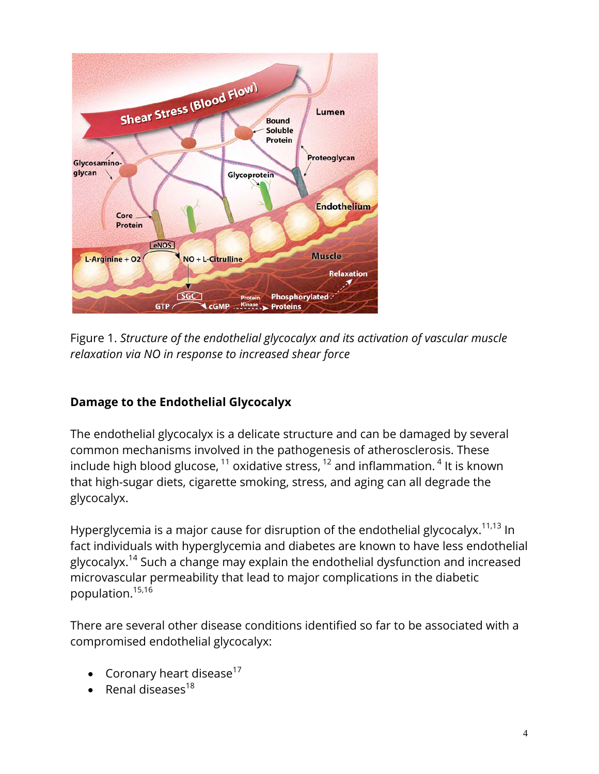

Figure 1. *Structure of the endothelial glycocalyx and its activation of vascular muscle relaxation via NO in response to increased shear force* 

## **Damage to the Endothelial Glycocalyx**

The endothelial glycocalyx is a delicate structure and can be damaged by several common mechanisms involved in the pathogenesis of atherosclerosis. These include high blood glucose,  $^{11}$  oxidative stress,  $^{12}$  and inflammation.  $^{4}$  It is known that high-sugar diets, cigarette smoking, stress, and aging can all degrade the glycocalyx.

Hyperglycemia is a major cause for disruption of the endothelial glycocalyx.<sup>11,13</sup> In fact individuals with hyperglycemia and diabetes are known to have less endothelial glycocalyx.<sup>14</sup> Such a change may explain the endothelial dysfunction and increased microvascular permeability that lead to major complications in the diabetic population.<sup>15,16</sup>

There are several other disease conditions identified so far to be associated with a compromised endothelial glycocalyx:

- Coronary heart disease $17$
- Renal diseases $^{18}$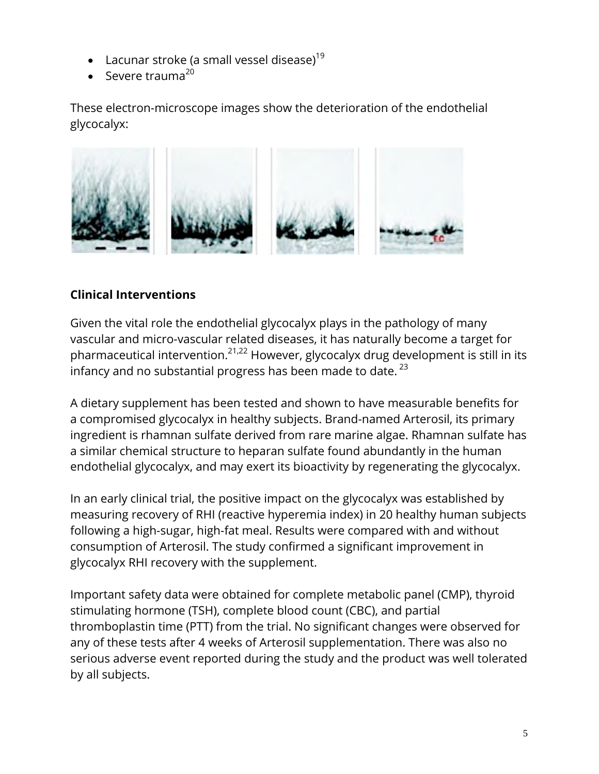- Lacunar stroke (a small vessel disease)<sup>19</sup>
- Severe trauma $^{20}$

These electron-microscope images show the deterioration of the endothelial glycocalyx:



## **Clinical Interventions**

Given the vital role the endothelial glycocalyx plays in the pathology of many vascular and micro-vascular related diseases, it has naturally become a target for pharmaceutical intervention.<sup>21,22</sup> However, glycocalyx drug development is still in its infancy and no substantial progress has been made to date. $^{23}$ 

A dietary supplement has been tested and shown to have measurable benefits for a compromised glycocalyx in healthy subjects. Brand-named Arterosil, its primary ingredient is rhamnan sulfate derived from rare marine algae. Rhamnan sulfate has a similar chemical structure to heparan sulfate found abundantly in the human endothelial glycocalyx, and may exert its bioactivity by regenerating the glycocalyx.

In an early clinical trial, the positive impact on the glycocalyx was established by measuring recovery of RHI (reactive hyperemia index) in 20 healthy human subjects following a high-sugar, high-fat meal. Results were compared with and without consumption of Arterosil. The study confirmed a significant improvement in glycocalyx RHI recovery with the supplement.

Important safety data were obtained for complete metabolic panel (CMP), thyroid stimulating hormone (TSH), complete blood count (CBC), and partial thromboplastin time (PTT) from the trial. No significant changes were observed for any of these tests after 4 weeks of Arterosil supplementation. There was also no serious adverse event reported during the study and the product was well tolerated by all subjects.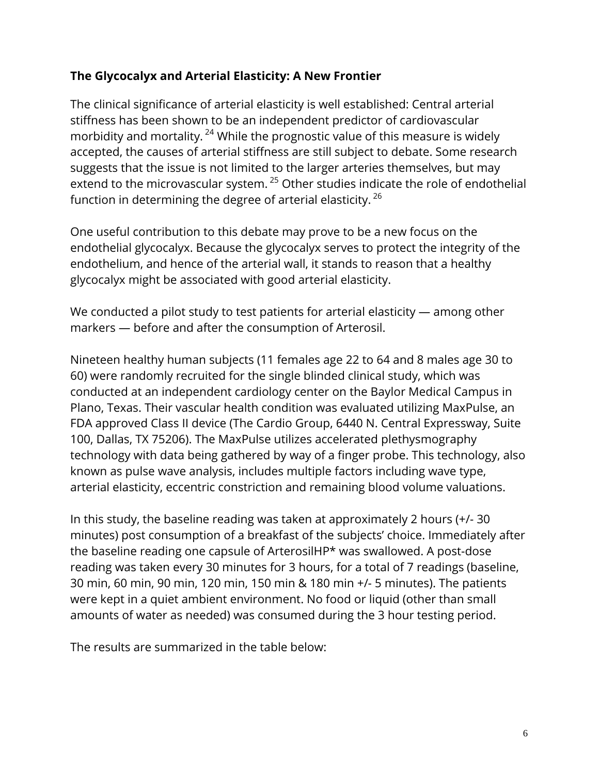### **The Glycocalyx and Arterial Elasticity: A New Frontier**

The clinical significance of arterial elasticity is well established: Central arterial stiffness has been shown to be an independent predictor of cardiovascular morbidity and mortality.<sup>24</sup> While the prognostic value of this measure is widely accepted, the causes of arterial stiffness are still subject to debate. Some research suggests that the issue is not limited to the larger arteries themselves, but may extend to the microvascular system.<sup>25</sup> Other studies indicate the role of endothelial function in determining the degree of arterial elasticity.  $^{26}$ 

One useful contribution to this debate may prove to be a new focus on the endothelial glycocalyx. Because the glycocalyx serves to protect the integrity of the endothelium, and hence of the arterial wall, it stands to reason that a healthy glycocalyx might be associated with good arterial elasticity.

We conducted a pilot study to test patients for arterial elasticity — among other markers — before and after the consumption of Arterosil.

Nineteen healthy human subjects (11 females age 22 to 64 and 8 males age 30 to 60) were randomly recruited for the single blinded clinical study, which was conducted at an independent cardiology center on the Baylor Medical Campus in Plano, Texas. Their vascular health condition was evaluated utilizing MaxPulse, an FDA approved Class II device (The Cardio Group, 6440 N. Central Expressway, Suite 100, Dallas, TX 75206). The MaxPulse utilizes accelerated plethysmography technology with data being gathered by way of a finger probe. This technology, also known as pulse wave analysis, includes multiple factors including wave type, arterial elasticity, eccentric constriction and remaining blood volume valuations.

In this study, the baseline reading was taken at approximately 2 hours (+/- 30 minutes) post consumption of a breakfast of the subjects' choice. Immediately after the baseline reading one capsule of ArterosilHP\* was swallowed. A post-dose reading was taken every 30 minutes for 3 hours, for a total of 7 readings (baseline, 30 min, 60 min, 90 min, 120 min, 150 min & 180 min +/- 5 minutes). The patients were kept in a quiet ambient environment. No food or liquid (other than small amounts of water as needed) was consumed during the 3 hour testing period.

The results are summarized in the table below: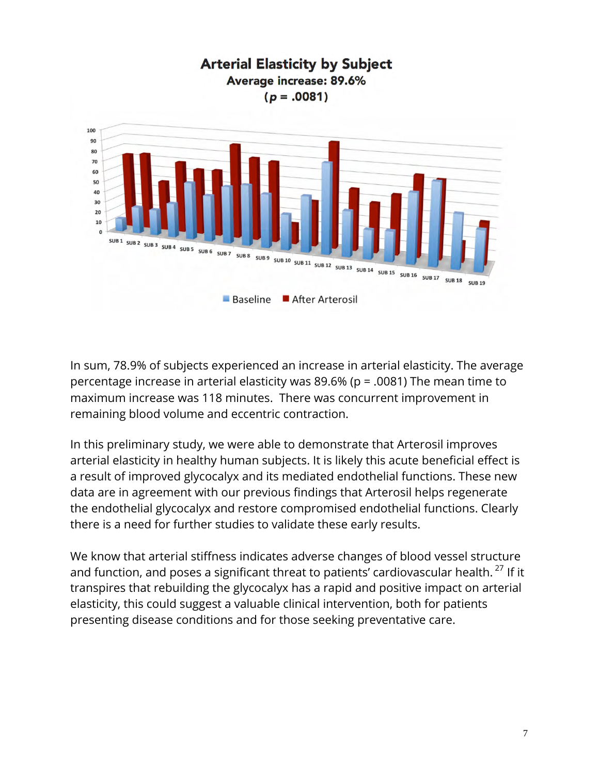

In sum, 78.9% of subjects experienced an increase in arterial elasticity. The average percentage increase in arterial elasticity was 89.6% (p = .0081) The mean time to maximum increase was 118 minutes. There was concurrent improvement in remaining blood volume and eccentric contraction.

In this preliminary study, we were able to demonstrate that Arterosil improves arterial elasticity in healthy human subjects. It is likely this acute beneficial effect is a result of improved glycocalyx and its mediated endothelial functions. These new data are in agreement with our previous findings that Arterosil helps regenerate the endothelial glycocalyx and restore compromised endothelial functions. Clearly there is a need for further studies to validate these early results.

We know that arterial stiffness indicates adverse changes of blood vessel structure and function, and poses a significant threat to patients' cardiovascular health.  $27$  If it transpires that rebuilding the glycocalyx has a rapid and positive impact on arterial elasticity, this could suggest a valuable clinical intervention, both for patients presenting disease conditions and for those seeking preventative care.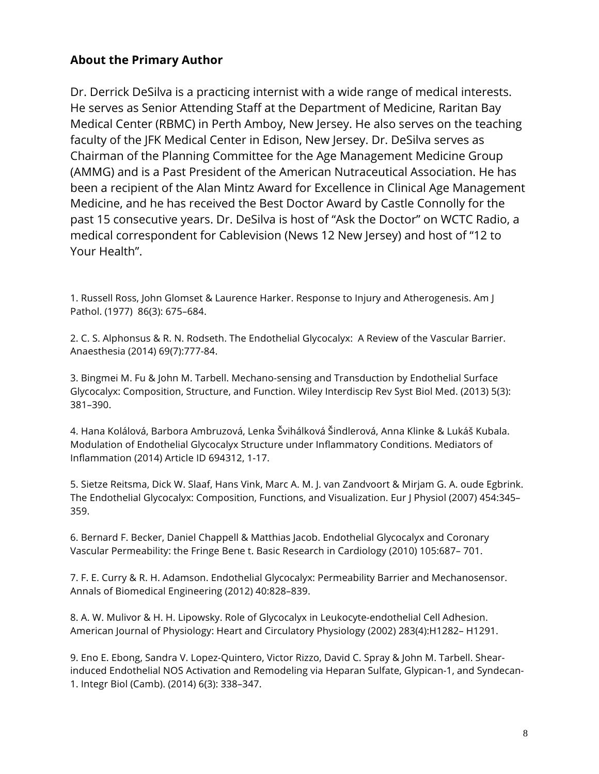### **About the Primary Author**

Dr. Derrick DeSilva is a practicing internist with a wide range of medical interests. He serves as Senior Attending Staff at the Department of Medicine, Raritan Bay Medical Center (RBMC) in Perth Amboy, New Jersey. He also serves on the teaching faculty of the JFK Medical Center in Edison, New Jersey. Dr. DeSilva serves as Chairman of the Planning Committee for the Age Management Medicine Group (AMMG) and is a Past President of the American Nutraceutical Association. He has been a recipient of the Alan Mintz Award for Excellence in Clinical Age Management Medicine, and he has received the Best Doctor Award by Castle Connolly for the past 15 consecutive years. Dr. DeSilva is host of "Ask the Doctor" on WCTC Radio, a medical correspondent for Cablevision (News 12 New Jersey) and host of "12 to Your Health".

1. Russell Ross, John Glomset & Laurence Harker. Response to Injury and Atherogenesis. Am J Pathol. (1977) 86(3): 675–684.

2. C. S. Alphonsus & R. N. Rodseth. The Endothelial Glycocalyx: A Review of the Vascular Barrier. Anaesthesia (2014) 69(7):777-84.

3. Bingmei M. Fu & John M. Tarbell. Mechano-sensing and Transduction by Endothelial Surface Glycocalyx: Composition, Structure, and Function. Wiley Interdiscip Rev Syst Biol Med. (2013) 5(3): 381–390.

4. Hana Kolálová, Barbora Ambruzová, Lenka Švihálková Šindlerová, Anna Klinke & Lukáš Kubala. Modulation of Endothelial Glycocalyx Structure under Inflammatory Conditions. Mediators of Inflammation (2014) Article ID 694312, 1-17.

5. Sietze Reitsma, Dick W. Slaaf, Hans Vink, Marc A. M. J. van Zandvoort & Mirjam G. A. oude Egbrink. The Endothelial Glycocalyx: Composition, Functions, and Visualization. Eur J Physiol (2007) 454:345– 359.

6. Bernard F. Becker, Daniel Chappell & Matthias Jacob. Endothelial Glycocalyx and Coronary Vascular Permeability: the Fringe Bene t. Basic Research in Cardiology (2010) 105:687– 701.

7. F. E. Curry & R. H. Adamson. Endothelial Glycocalyx: Permeability Barrier and Mechanosensor. Annals of Biomedical Engineering (2012) 40:828–839.

8. A. W. Mulivor & H. H. Lipowsky. Role of Glycocalyx in Leukocyte-endothelial Cell Adhesion. American Journal of Physiology: Heart and Circulatory Physiology (2002) 283(4):H1282– H1291.

9. Eno E. Ebong, Sandra V. Lopez-Quintero, Victor Rizzo, David C. Spray & John M. Tarbell. Shearinduced Endothelial NOS Activation and Remodeling via Heparan Sulfate, Glypican-1, and Syndecan-1. Integr Biol (Camb). (2014) 6(3): 338–347.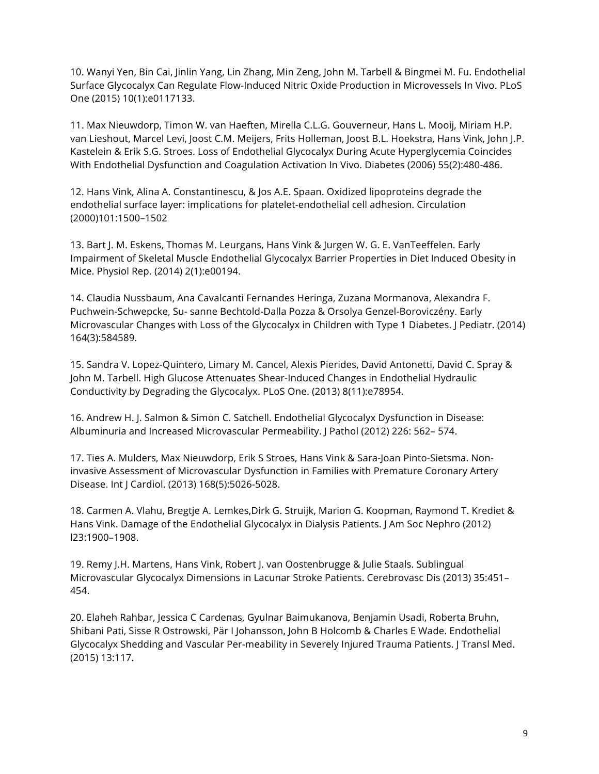10. Wanyi Yen, Bin Cai, Jinlin Yang, Lin Zhang, Min Zeng, John M. Tarbell & Bingmei M. Fu. Endothelial Surface Glycocalyx Can Regulate Flow-Induced Nitric Oxide Production in Microvessels In Vivo. PLoS One (2015) 10(1):e0117133.

11. Max Nieuwdorp, Timon W. van Haeften, Mirella C.L.G. Gouverneur, Hans L. Mooij, Miriam H.P. van Lieshout, Marcel Levi, Joost C.M. Meijers, Frits Holleman, Joost B.L. Hoekstra, Hans Vink, John J.P. Kastelein & Erik S.G. Stroes. Loss of Endothelial Glycocalyx During Acute Hyperglycemia Coincides With Endothelial Dysfunction and Coagulation Activation In Vivo. Diabetes (2006) 55(2):480-486.

12. Hans Vink, Alina A. Constantinescu, & Jos A.E. Spaan. Oxidized lipoproteins degrade the endothelial surface layer: implications for platelet-endothelial cell adhesion. Circulation (2000)101:1500–1502

13. Bart J. M. Eskens, Thomas M. Leurgans, Hans Vink & Jurgen W. G. E. VanTeeffelen. Early Impairment of Skeletal Muscle Endothelial Glycocalyx Barrier Properties in Diet Induced Obesity in Mice. Physiol Rep. (2014) 2(1):e00194.

14. Claudia Nussbaum, Ana Cavalcanti Fernandes Heringa, Zuzana Mormanova, Alexandra F. Puchwein-Schwepcke, Su- sanne Bechtold-Dalla Pozza & Orsolya Genzel-Boroviczény. Early Microvascular Changes with Loss of the Glycocalyx in Children with Type 1 Diabetes. J Pediatr. (2014) 164(3):584589.

15. Sandra V. Lopez-Quintero, Limary M. Cancel, Alexis Pierides, David Antonetti, David C. Spray & John M. Tarbell. High Glucose Attenuates Shear-Induced Changes in Endothelial Hydraulic Conductivity by Degrading the Glycocalyx. PLoS One. (2013) 8(11):e78954.

16. Andrew H. J. Salmon & Simon C. Satchell. Endothelial Glycocalyx Dysfunction in Disease: Albuminuria and Increased Microvascular Permeability. J Pathol (2012) 226: 562– 574.

17. Ties A. Mulders, Max Nieuwdorp, Erik S Stroes, Hans Vink & Sara-Joan Pinto-Sietsma. Noninvasive Assessment of Microvascular Dysfunction in Families with Premature Coronary Artery Disease. Int J Cardiol. (2013) 168(5):5026-5028.

18. Carmen A. Vlahu, Bregtje A. Lemkes,Dirk G. Struijk, Marion G. Koopman, Raymond T. Krediet & Hans Vink. Damage of the Endothelial Glycocalyx in Dialysis Patients. J Am Soc Nephro (2012) l23:1900–1908.

19. Remy J.H. Martens, Hans Vink, Robert J. van Oostenbrugge & Julie Staals. Sublingual Microvascular Glycocalyx Dimensions in Lacunar Stroke Patients. Cerebrovasc Dis (2013) 35:451– 454.

20. Elaheh Rahbar, Jessica C Cardenas, Gyulnar Baimukanova, Benjamin Usadi, Roberta Bruhn, Shibani Pati, Sisse R Ostrowski, Pär I Johansson, John B Holcomb & Charles E Wade. Endothelial Glycocalyx Shedding and Vascular Per-meability in Severely Injured Trauma Patients. J Transl Med. (2015) 13:117.